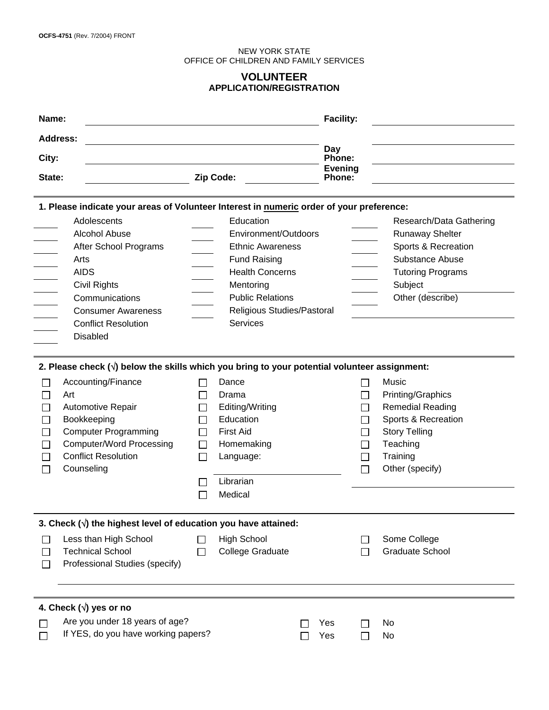#### NEW YORK STATE OFFICE OF CHILDREN AND FAMILY SERVICES

## **VOLUNTEER APPLICATION/REGISTRATION**

| Name:                                                                                    |                                                                                                                                                                                                                                                                                     |                              | <b>Facility:</b>                                                                                                      |                          |  |                                                                                                                                                 |  |
|------------------------------------------------------------------------------------------|-------------------------------------------------------------------------------------------------------------------------------------------------------------------------------------------------------------------------------------------------------------------------------------|------------------------------|-----------------------------------------------------------------------------------------------------------------------|--------------------------|--|-------------------------------------------------------------------------------------------------------------------------------------------------|--|
| <b>Address:</b>                                                                          |                                                                                                                                                                                                                                                                                     |                              |                                                                                                                       |                          |  |                                                                                                                                                 |  |
| Day                                                                                      |                                                                                                                                                                                                                                                                                     |                              |                                                                                                                       |                          |  |                                                                                                                                                 |  |
| City:                                                                                    |                                                                                                                                                                                                                                                                                     | Zip Code:                    |                                                                                                                       | Phone:<br><b>Evening</b> |  |                                                                                                                                                 |  |
| State:                                                                                   |                                                                                                                                                                                                                                                                                     |                              |                                                                                                                       | <b>Phone:</b>            |  |                                                                                                                                                 |  |
| 1. Please indicate your areas of Volunteer Interest in numeric order of your preference: |                                                                                                                                                                                                                                                                                     |                              |                                                                                                                       |                          |  |                                                                                                                                                 |  |
|                                                                                          | Adolescents                                                                                                                                                                                                                                                                         |                              | Education                                                                                                             |                          |  | Research/Data Gathering                                                                                                                         |  |
|                                                                                          | <b>Alcohol Abuse</b>                                                                                                                                                                                                                                                                |                              | Environment/Outdoors                                                                                                  |                          |  | <b>Runaway Shelter</b>                                                                                                                          |  |
|                                                                                          | After School Programs                                                                                                                                                                                                                                                               |                              | <b>Ethnic Awareness</b>                                                                                               |                          |  | Sports & Recreation                                                                                                                             |  |
|                                                                                          | Arts                                                                                                                                                                                                                                                                                |                              | <b>Fund Raising</b>                                                                                                   |                          |  | Substance Abuse                                                                                                                                 |  |
|                                                                                          | <b>AIDS</b>                                                                                                                                                                                                                                                                         |                              | <b>Health Concerns</b>                                                                                                |                          |  | <b>Tutoring Programs</b>                                                                                                                        |  |
|                                                                                          | Civil Rights                                                                                                                                                                                                                                                                        |                              | Mentoring                                                                                                             |                          |  | Subject                                                                                                                                         |  |
|                                                                                          | Communications                                                                                                                                                                                                                                                                      |                              | <b>Public Relations</b>                                                                                               |                          |  | Other (describe)                                                                                                                                |  |
|                                                                                          | <b>Consumer Awareness</b>                                                                                                                                                                                                                                                           |                              | Religious Studies/Pastoral                                                                                            |                          |  |                                                                                                                                                 |  |
|                                                                                          | <b>Conflict Resolution</b>                                                                                                                                                                                                                                                          |                              | <b>Services</b>                                                                                                       |                          |  |                                                                                                                                                 |  |
|                                                                                          | <b>Disabled</b>                                                                                                                                                                                                                                                                     |                              |                                                                                                                       |                          |  |                                                                                                                                                 |  |
|                                                                                          | 2. Please check $(\sqrt{})$ below the skills which you bring to your potential volunteer assignment:<br>Accounting/Finance<br>Art<br>Automotive Repair<br>Bookkeeping<br><b>Computer Programming</b><br><b>Computer/Word Processing</b><br><b>Conflict Resolution</b><br>Counseling | ΙI                           | Dance<br>Drama<br>Editing/Writing<br>Education<br><b>First Aid</b><br>Homemaking<br>Language:<br>Librarian<br>Medical |                          |  | Music<br>Printing/Graphics<br><b>Remedial Reading</b><br>Sports & Recreation<br><b>Story Telling</b><br>Teaching<br>Training<br>Other (specify) |  |
| 3. Check $(\sqrt{ } )$ the highest level of education you have attained:                 |                                                                                                                                                                                                                                                                                     |                              |                                                                                                                       |                          |  |                                                                                                                                                 |  |
|                                                                                          | Less than High School<br><b>Technical School</b><br>Professional Studies (specify)                                                                                                                                                                                                  | $\mathsf{L}$<br>$\mathsf{L}$ | <b>High School</b><br><b>College Graduate</b>                                                                         |                          |  | Some College<br><b>Graduate School</b>                                                                                                          |  |
|                                                                                          | 4. Check ( $\sqrt{ }$ ) yes or no                                                                                                                                                                                                                                                   |                              |                                                                                                                       |                          |  |                                                                                                                                                 |  |
|                                                                                          | Are you under 18 years of age?<br>If YES, do you have working papers?                                                                                                                                                                                                               |                              |                                                                                                                       | Yes<br>Yes               |  | No<br>No                                                                                                                                        |  |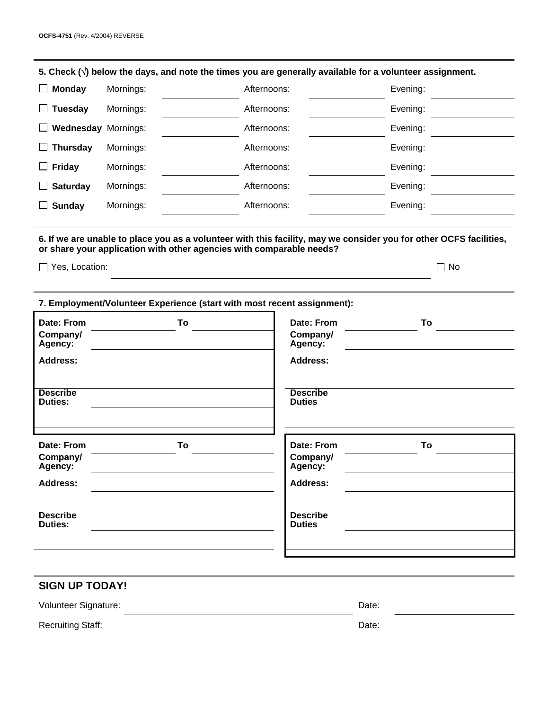| 5. Check $(\sqrt{ } )$ below the days, and note the times you are generally available for a volunteer assignment.                                                                                                                |                                                                         |             |                                   |          |  |  |
|----------------------------------------------------------------------------------------------------------------------------------------------------------------------------------------------------------------------------------|-------------------------------------------------------------------------|-------------|-----------------------------------|----------|--|--|
| <b>Monday</b><br>ப                                                                                                                                                                                                               | Mornings:<br>Afternoons:                                                |             | Evening:                          |          |  |  |
| <b>Tuesday</b><br>ப                                                                                                                                                                                                              | Mornings:                                                               | Afternoons: |                                   | Evening: |  |  |
| <b>Wednesday Mornings:</b><br>ப                                                                                                                                                                                                  |                                                                         | Afternoons: |                                   | Evening: |  |  |
| <b>Thursday</b><br>ப                                                                                                                                                                                                             | Mornings:                                                               | Afternoons: |                                   | Evening: |  |  |
| <b>Friday</b><br>ப                                                                                                                                                                                                               | Mornings:                                                               | Afternoons: |                                   | Evening: |  |  |
| <b>Saturday</b><br>$\Box$                                                                                                                                                                                                        | Mornings:                                                               | Afternoons: |                                   | Evening: |  |  |
| <b>Sunday</b><br>$\Box$                                                                                                                                                                                                          | Mornings:                                                               | Afternoons: |                                   | Evening: |  |  |
| 6. If we are unable to place you as a volunteer with this facility, may we consider you for other OCFS facilities,<br>or share your application with other agencies with comparable needs?<br>$\Box$ Yes, Location:<br>$\Box$ No |                                                                         |             |                                   |          |  |  |
|                                                                                                                                                                                                                                  | 7. Employment/Volunteer Experience (start with most recent assignment): |             |                                   |          |  |  |
| Date: From<br>Company/<br>Agency:                                                                                                                                                                                                | To                                                                      |             | Date: From<br>Company/<br>Agency: | To       |  |  |
| <b>Address:</b>                                                                                                                                                                                                                  |                                                                         |             | <b>Address:</b>                   |          |  |  |
| <b>Describe</b><br><b>Duties:</b>                                                                                                                                                                                                |                                                                         |             | <b>Describe</b><br><b>Duties</b>  |          |  |  |
| Date: From<br>Company/<br>Agency:                                                                                                                                                                                                | To                                                                      |             | Date: From<br>Company/<br>Agency: | To       |  |  |
| <b>Address:</b>                                                                                                                                                                                                                  |                                                                         |             | <b>Address:</b>                   |          |  |  |
| <b>Describe</b><br><b>Duties:</b>                                                                                                                                                                                                |                                                                         |             | <b>Describe</b><br><b>Duties</b>  |          |  |  |
| <b>SIGN UP TODAY!</b>                                                                                                                                                                                                            |                                                                         |             |                                   |          |  |  |

| Volunteer Signature:     | Date: |  |
|--------------------------|-------|--|
| <b>Recruiting Staff:</b> | Date: |  |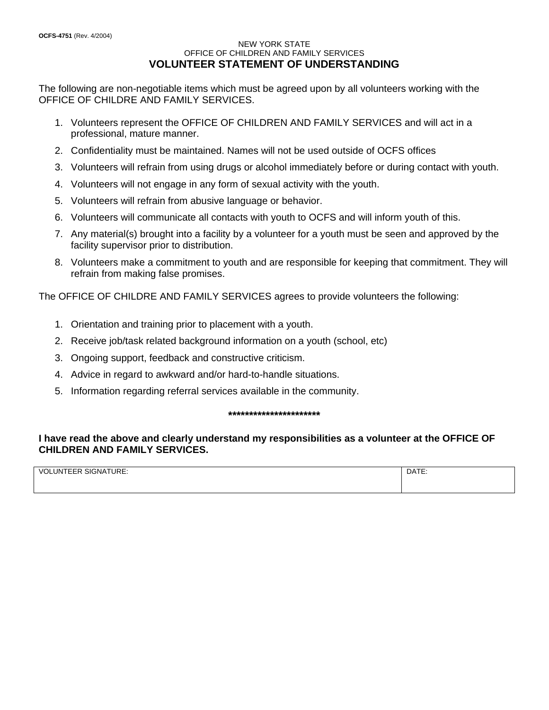### NEW YORK STATE OFFICE OF CHILDREN AND FAMILY SERVICES **VOLUNTEER STATEMENT OF UNDERSTANDING**

The following are non-negotiable items which must be agreed upon by all volunteers working with the OFFICE OF CHILDRE AND FAMILY SERVICES.

- 1. Volunteers represent the OFFICE OF CHILDREN AND FAMILY SERVICES and will act in a professional, mature manner.
- 2. Confidentiality must be maintained. Names will not be used outside of OCFS offices
- 3. Volunteers will refrain from using drugs or alcohol immediately before or during contact with youth.
- 4. Volunteers will not engage in any form of sexual activity with the youth.
- 5. Volunteers will refrain from abusive language or behavior.
- 6. Volunteers will communicate all contacts with youth to OCFS and will inform youth of this.
- 7. Any material(s) brought into a facility by a volunteer for a youth must be seen and approved by the facility supervisor prior to distribution.
- 8. Volunteers make a commitment to youth and are responsible for keeping that commitment. They will refrain from making false promises.

The OFFICE OF CHILDRE AND FAMILY SERVICES agrees to provide volunteers the following:

- 1. Orientation and training prior to placement with a youth.
- 2. Receive job/task related background information on a youth (school, etc)
- 3. Ongoing support, feedback and constructive criticism.
- 4. Advice in regard to awkward and/or hard-to-handle situations.
- 5. Information regarding referral services available in the community.

### **\*\*\*\*\*\*\*\*\*\*\*\*\*\*\*\*\*\*\*\*\*\***

# **I have read the above and clearly understand my responsibilities as a volunteer at the OFFICE OF CHILDREN AND FAMILY SERVICES.**

| SIGNATURE:<br><b>INTEFR</b><br>$V\Omega$<br>∼ | ATC<br>DAIE |
|-----------------------------------------------|-------------|
|                                               |             |